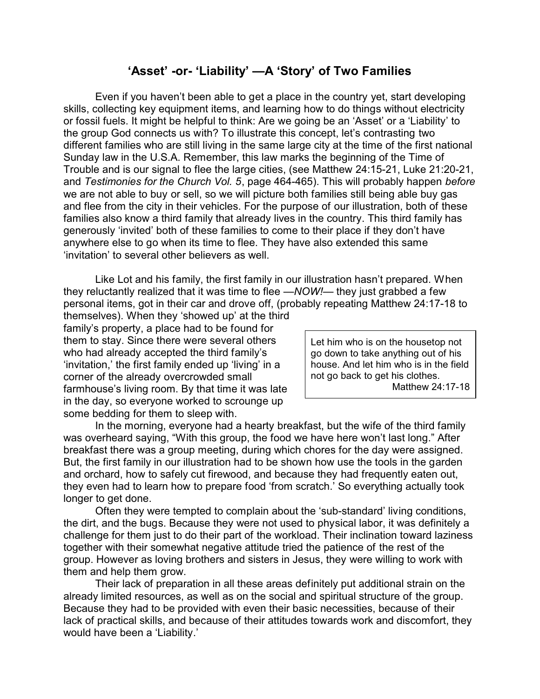## **'Asset' -or- 'Liability' —A 'Story' of Two Families**

Even if you haven't been able to get a place in the country yet, start developing skills, collecting key equipment items, and learning how to do things without electricity or fossil fuels. It might be helpful to think: Are we going be an 'Asset' or a 'Liability' to the group God connects us with? To illustrate this concept, let's contrasting two different families who are still living in the same large city at the time of the first national Sunday law in the U.S.A. Remember, this law marks the beginning of the Time of Trouble and is our signal to flee the large cities, (see Matthew 24:15-21, Luke 21:20-21, and *Testimonies for the Church Vol. 5*, page 464-465). This will probably happen *before* we are not able to buy or sell, so we will picture both families still being able buy gas and flee from the city in their vehicles. For the purpose of our illustration, both of these families also know a third family that already lives in the country. This third family has generously 'invited' both of these families to come to their place if they don't have anywhere else to go when its time to flee. They have also extended this same 'invitation' to several other believers as well.

Like Lot and his family, the first family in our illustration hasn't prepared. When they reluctantly realized that it was time to flee *—NOW!*— they just grabbed a few personal items, got in their car and drove off, (probably repeating Matthew 24:17-18 to

themselves). When they 'showed up' at the third family's property, a place had to be found for them to stay. Since there were several others who had already accepted the third family's 'invitation,' the first family ended up 'living' in a corner of the already overcrowded small farmhouse's living room. By that time it was late in the day, so everyone worked to scrounge up some bedding for them to sleep with.

Let him who is on the housetop not go down to take anything out of his house. And let him who is in the field not go back to get his clothes. Matthew 24:17-18

In the morning, everyone had a hearty breakfast, but the wife of the third family was overheard saying, "With this group, the food we have here won't last long." After breakfast there was a group meeting, during which chores for the day were assigned. But, the first family in our illustration had to be shown how use the tools in the garden and orchard, how to safely cut firewood, and because they had frequently eaten out, they even had to learn how to prepare food 'from scratch.' So everything actually took longer to get done.

Often they were tempted to complain about the 'sub-standard' living conditions, the dirt, and the bugs. Because they were not used to physical labor, it was definitely a challenge for them just to do their part of the workload. Their inclination toward laziness together with their somewhat negative attitude tried the patience of the rest of the group. However as loving brothers and sisters in Jesus, they were willing to work with them and help them grow.

Their lack of preparation in all these areas definitely put additional strain on the already limited resources, as well as on the social and spiritual structure of the group. Because they had to be provided with even their basic necessities, because of their lack of practical skills, and because of their attitudes towards work and discomfort, they would have been a 'Liability.'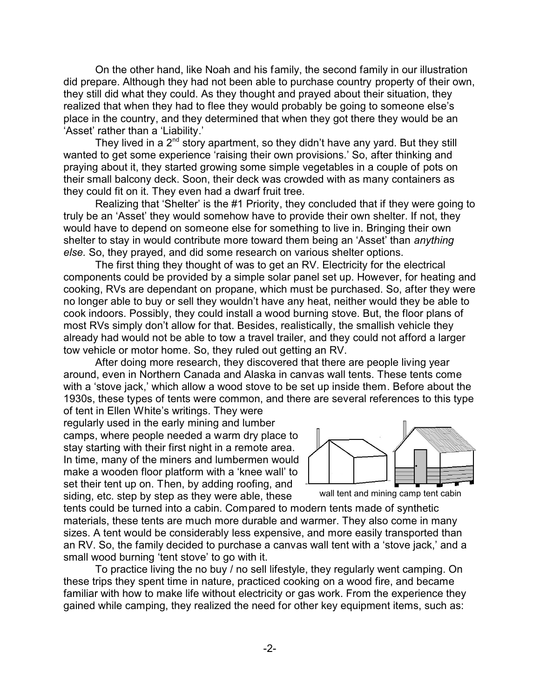On the other hand, like Noah and his family, the second family in our illustration did prepare. Although they had not been able to purchase country property of their own, they still did what they could. As they thought and prayed about their situation, they realized that when they had to flee they would probably be going to someone else's place in the country, and they determined that when they got there they would be an 'Asset' rather than a 'Liability.'

They lived in a  $2^{nd}$  story apartment, so they didn't have any yard. But they still wanted to get some experience 'raising their own provisions.' So, after thinking and praying about it, they started growing some simple vegetables in a couple of pots on their small balcony deck. Soon, their deck was crowded with as many containers as they could fit on it. They even had a dwarf fruit tree.

Realizing that 'Shelter' is the #1 Priority, they concluded that if they were going to truly be an 'Asset' they would somehow have to provide their own shelter. If not, they would have to depend on someone else for something to live in. Bringing their own shelter to stay in would contribute more toward them being an 'Asset' than *anything else.* So, they prayed, and did some research on various shelter options.

The first thing they thought of was to get an RV. Electricity for the electrical components could be provided by a simple solar panel set up. However, for heating and cooking, RVs are dependant on propane, which must be purchased. So, after they were no longer able to buy or sell they wouldn't have any heat, neither would they be able to cook indoors. Possibly, they could install a wood burning stove. But, the floor plans of most RVs simply don't allow for that. Besides, realistically, the smallish vehicle they already had would not be able to tow a travel trailer, and they could not afford a larger tow vehicle or motor home. So, they ruled out getting an RV.

After doing more research, they discovered that there are people living year around, even in Northern Canada and Alaska in canvas wall tents. These tents come with a 'stove jack,' which allow a wood stove to be set up inside them. Before about the 1930s, these types of tents were common, and there are several references to this type of tent in Ellen White's writings. They were

regularly used in the early mining and lumber camps, where people needed a warm dry place to stay starting with their first night in a remote area. In time, many of the miners and lumbermen would make a wooden floor platform with a 'knee wall' to set their tent up on. Then, by adding roofing, and siding, etc. step by step as they were able, these



wall tent and mining camp tent cabin

tents could be turned into a cabin. Compared to modern tents made of synthetic materials, these tents are much more durable and warmer. They also come in many sizes. A tent would be considerably less expensive, and more easily transported than an RV. So, the family decided to purchase a canvas wall tent with a 'stove jack,' and a small wood burning 'tent stove' to go with it.

To practice living the no buy / no sell lifestyle, they regularly went camping. On these trips they spent time in nature, practiced cooking on a wood fire, and became familiar with how to make life without electricity or gas work. From the experience they gained while camping, they realized the need for other key equipment items, such as: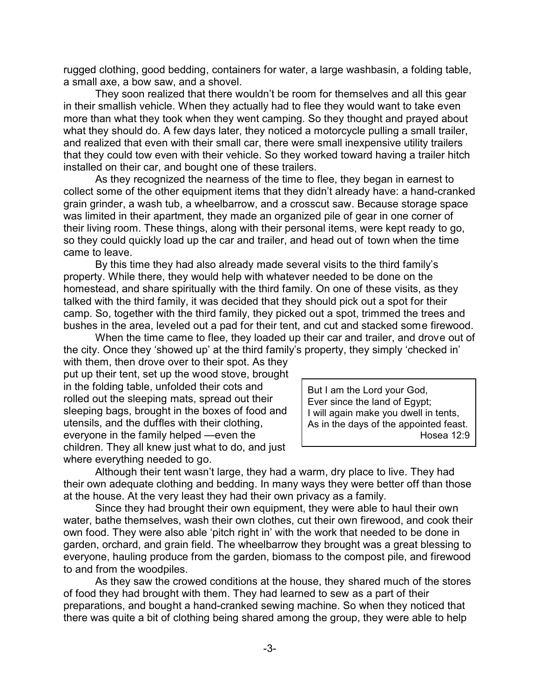rugged clothing, good bedding, containers for water, a large washbasin, a folding table, a small axe, a bow saw, and a shovel.

They soon realized that there wouldn't be room for themselves and all this gear in their smallish vehicle. When they actually had to flee they would want to take even more than what they took when they went camping. So they thought and prayed about what they should do. A few days later, they noticed a motorcycle pulling a small trailer, and realized that even with their small car, there were small inexpensive utility trailers that they could tow even with their vehicle. So they worked toward having a trailer hitch installed on their car, and bought one of these trailers.

As they recognized the nearness of the time to flee, they began in earnest to collect some of the other equipment items that they didn't already have: a hand-cranked grain grinder, a wash tub, a wheelbarrow, and a crosscut saw. Because storage space was limited in their apartment, they made an organized pile of gear in one corner of their living room. These things, along with their personal items, were kept ready to go, so they could quickly load up the car and trailer, and head out of town when the time came to leave.

By this time they had also already made several visits to the third family's property. While there, they would help with whatever needed to be done on the homestead, and share spiritually with the third family. On one of these visits, as they talked with the third family, it was decided that they should pick out a spot for their camp. So, together with the third family, they picked out a spot, trimmed the trees and bushes in the area, leveled out a pad for their tent, and cut and stacked some firewood.

When the time came to flee, they loaded up their car and trailer, and drove out of the city. Once they 'showed up' at the third family's property, they simply 'checked in'

with them, then drove over to their spot. As they put up their tent, set up the wood stove, brought in the folding table, unfolded their cots and rolled out the sleeping mats, spread out their sleeping bags, brought in the boxes of food and utensils, and the duffles with their clothing, everyone in the family helped —even the children. They all knew just what to do, and just where everything needed to go.

But I am the Lord your God, Ever since the land of Egypt; I will again make you dwell in tents, As in the days of the appointed feast. Hosea 12:9

Although their tent wasn't large, they had a warm, dry place to live. They had their own adequate clothing and bedding. In many ways they were better off than those at the house. At the very least they had their own privacy as a family.

Since they had brought their own equipment, they were able to haul their own water, bathe themselves, wash their own clothes, cut their own firewood, and cook their own food. They were also able 'pitch right in' with the work that needed to be done in garden, orchard, and grain field. The wheelbarrow they brought was a great blessing to everyone, hauling produce from the garden, biomass to the compost pile, and firewood to and from the woodpiles.

As they saw the crowed conditions at the house, they shared much of the stores of food they had brought with them. They had learned to sew as a part of their preparations, and bought a hand-cranked sewing machine. So when they noticed that there was quite a bit of clothing being shared among the group, they were able to help